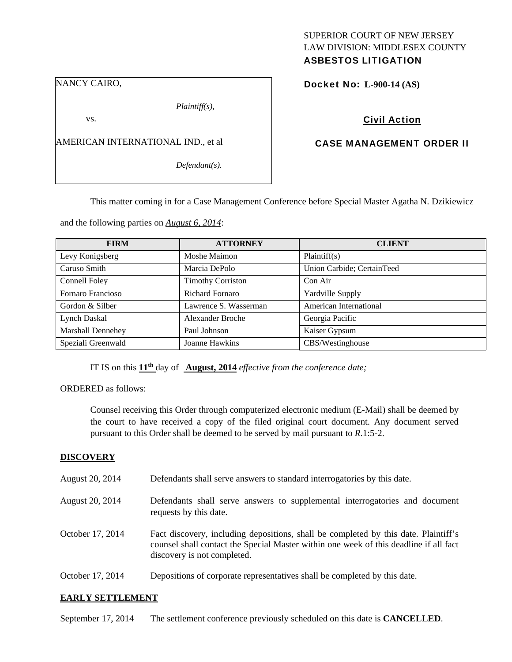### NANCY CAIRO,

*Plaintiff(s),* 

vs.

AMERICAN INTERNATIONAL IND., et al

*Defendant(s).* 

## SUPERIOR COURT OF NEW JERSEY LAW DIVISION: MIDDLESEX COUNTY ASBESTOS LITIGATION

Docket No: **L-900-14 (AS)** 

Civil Action

## CASE MANAGEMENT ORDER II

This matter coming in for a Case Management Conference before Special Master Agatha N. Dzikiewicz

and the following parties on *August 6, 2014*:

| <b>FIRM</b>        | <b>ATTORNEY</b>          | <b>CLIENT</b>              |
|--------------------|--------------------------|----------------------------|
| Levy Konigsberg    | Moshe Maimon             | Plaintiff(s)               |
| Caruso Smith       | Marcia DePolo            | Union Carbide; CertainTeed |
| Connell Foley      | <b>Timothy Corriston</b> | Con Air                    |
| Fornaro Francioso  | <b>Richard Fornaro</b>   | Yardville Supply           |
| Gordon & Silber    | Lawrence S. Wasserman    | American International     |
| Lynch Daskal       | <b>Alexander Broche</b>  | Georgia Pacific            |
| Marshall Dennehey  | Paul Johnson             | Kaiser Gypsum              |
| Speziali Greenwald | Joanne Hawkins           | CBS/Westinghouse           |

IT IS on this **11th** day of **August, 2014** *effective from the conference date;*

ORDERED as follows:

Counsel receiving this Order through computerized electronic medium (E-Mail) shall be deemed by the court to have received a copy of the filed original court document. Any document served pursuant to this Order shall be deemed to be served by mail pursuant to *R*.1:5-2.

## **DISCOVERY**

| August 20, 2014  | Defendants shall serve answers to standard interrogatories by this date.                                                                                                                                    |
|------------------|-------------------------------------------------------------------------------------------------------------------------------------------------------------------------------------------------------------|
| August 20, 2014  | Defendants shall serve answers to supplemental interrogatories and document<br>requests by this date.                                                                                                       |
| October 17, 2014 | Fact discovery, including depositions, shall be completed by this date. Plaintiff's<br>counsel shall contact the Special Master within one week of this deadline if all fact<br>discovery is not completed. |
| October 17, 2014 | Depositions of corporate representatives shall be completed by this date.                                                                                                                                   |

## **EARLY SETTLEMENT**

September 17, 2014 The settlement conference previously scheduled on this date is **CANCELLED**.